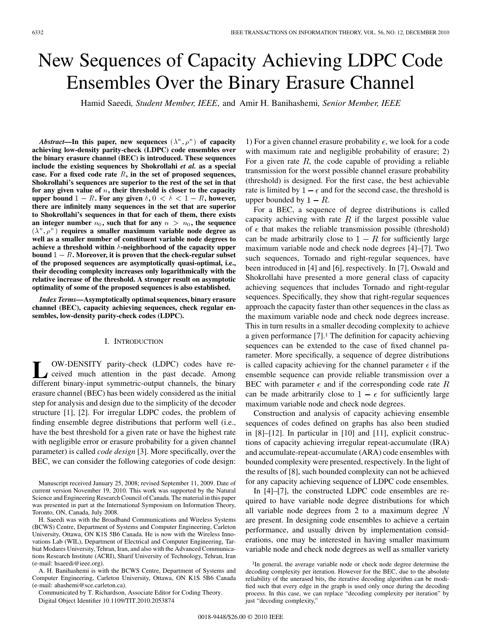# New Sequences of Capacity Achieving LDPC Code Ensembles Over the Binary Erasure Channel

Hamid Saeedi*, Student Member, IEEE*, and Amir H. Banihashemi*, Senior Member, IEEE*

 $\Lambda$ *bstract*—In this paper, new sequences  $(\lambda^n, \rho^n)$  of capacity **achieving low-density parity-check (LDPC) code ensembles over the binary erasure channel (BEC) is introduced. These sequences include the existing sequences by Shokrollahi** *et al.* **as a special** case. For a fixed code rate  $R$ , in the set of proposed sequences, **Shokrollahi's sequences are superior to the rest of the set in that** for any given value of  $n$ , their threshold is closer to the capacity include the existing sequences by Shokrollahi *et al.* as a special case. For a fixed code rate *R*, in the set of proposed sequences, Shokrollahi's sequences are superior to the rest of the set in that for any given valu **there are infinitely many sequences in the set that are superior to Shokrollahi's sequences in that for each of them, there exists** an integer number  $n_0$ , such that for any  $n > n_0$ , the sequence  $(\lambda^n, \rho^n)$  requires a smaller maximum variable node degree as **well as a smaller number of constituent variable node degrees to** achieve a threshold within  $\delta$ -neighborhood of the capacity upper an integer number  $n_0$ , such that for any  $n > n_0$ , the sequence  $(\lambda^n, \rho^n)$  requires a smaller maximum variable node degree as well as a smaller number of constituent variable node degrees to achieve a threshold within  $\$ **of the proposed sequences are asymptotically quasi-optimal, i.e., their decoding complexity increases only logarithmically with the relative increase of the threshold. A stronger result on asymptotic optimality of some of the proposed sequences is also established.**

*Index Terms—***Asymptotically optimal sequences, binary erasure channel (BEC), capacity achieving sequences, check regular ensembles, low-density parity-check codes (LDPC).**

### I. INTRODUCTION

**L** OW-DENSITY parity-check (LDPC) codes have received much attention in the past decade. Among different binary-input symmetric-output channels, the binary erasure channel (BEC) has been widely considered as the initial step for analysis and design due to the simplicity of the decoder structure [1], [2]. For irregular LDPC codes, the problem of finding ensemble degree distributions that perform well (i.e., have the best threshold for a given rate or have the highest rate with negligible error or erasure probability for a given channel parameter) is called *code design* [3]. More specifically, over the BEC, we can consider the following categories of code design:

Manuscript received January 25, 2008; revised September 11, 2009. Date of current version November 19, 2010. This work was supported by the Natural Science and Engineering Research Council of Canada. The material in this paper was presented in part at the International Symposium on Information Theory, Toronto, ON, Canada, July 2008.

H. Saeedi was with the Broadband Communications and Wireless Systems (BCWS) Centre, Department of Systems and Computer Engineering, Carleton University, Ottawa, ON K1S 5B6 Canada. He is now with the Wireless Innovations Lab (WIL), Department of Electrical and Computer Engineering, Tarbiat Modares University, Tehran, Iran, and also with the Advanced Communications Research Institute (ACRI), Sharif University of Technology, Tehran, Iran (e-mail: hsaeedi@ieee.org).

A. H. Banihashemi is with the BCWS Centre, Department of Systems and Computer Engineering, Carleton University, Ottawa, ON K1S 5B6 Canada (e-mail: ahashemi@sce.carleton.ca).

Communicated by T. Richardson, Associate Editor for Coding Theory. Digital Object Identifier 10.1109/TIT.2010.2053874

1) For a given channel erasure probability  $\epsilon$ , we look for a code with maximum rate and negligible probability of erasure; 2) For a given rate  $R$ , the code capable of providing a reliable transmission for the worst possible channel erasure probability (threshold) is designed. For the first case, the best achievable rate is limited by  $1 - \epsilon$  and for the second case, the threshold is upper bounded by  $1 - R$ .

For a BEC, a sequence of degree distributions is called capacity achieving with rate  $R$  if the largest possible value of  $\epsilon$  that makes the reliable transmission possible (threshold) can be made arbitrarily close to  $1 - R$  for sufficiently large maximum variable node and check node degrees [4]–[7]. Two such sequences, Tornado and right-regular sequences, have been introduced in [4] and [6], respectively. In [7], Oswald and Shokrollahi have presented a more general class of capacity achieving sequences that includes Tornado and right-regular sequences. Specifically, they show that right-regular sequences approach the capacity faster than other sequences in the class as the maximum variable node and check node degrees increase. This in turn results in a smaller decoding complexity to achieve a given performance [7].1 The definition for capacity achieving sequences can be extended to the case of fixed channel parameter. More specifically, a sequence of degree distributions is called capacity achieving for the channel parameter  $\epsilon$  if the ensemble sequence can provide reliable transmission over a BEC with parameter  $\epsilon$  and if the corresponding code rate R can be made arbitrarily close to  $1 - \epsilon$  for sufficiently large maximum variable node and check node degrees.

Construction and analysis of capacity achieving ensemble sequences of codes defined on graphs has also been studied in [8]–[12]. In particular in [10] and [11], explicit constructions of capacity achieving irregular repeat-accumulate (IRA) and accumulate-repeat-accumulate (ARA) code ensembles with bounded complexity were presented, respectively. In the light of the results of [8], such bounded complexity can not be achieved for any capacity achieving sequence of LDPC code ensembles.

In [4]–[7], the constructed LDPC code ensembles are required to have variable node degree distributions for which all variable node degrees from 2 to a maximum degree  $N$ are present. In designing code ensembles to achieve a certain performance, and usually driven by implementation considerations, one may be interested in having smaller maximum variable node and check node degrees as well as smaller variety

<sup>&</sup>lt;sup>1</sup>In general, the average variable node or check node degree determine the decoding complexity per iteration. However for the BEC, due to the absolute reliability of the unerased bits, the iterative decoding algorithm can be modified such that every edge in the graph is used only once during the decoding process. In this case, we can replace "decoding complexity per iteration" by just "decoding complexity,"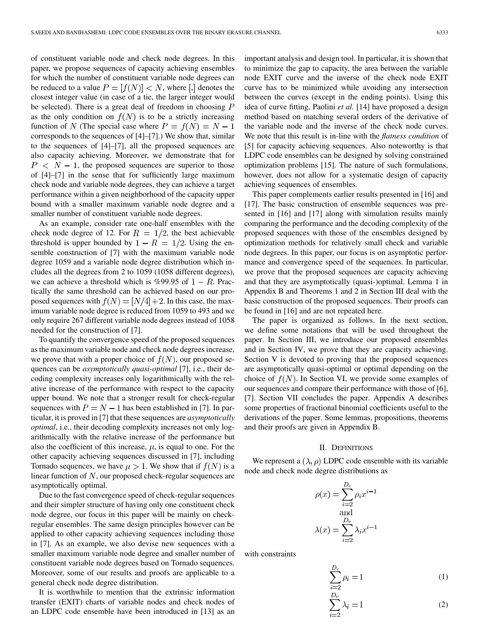of constituent variable node and check node degrees. In this paper, we propose sequences of capacity achieving ensembles for which the number of constituent variable node degrees can be reduced to a value  $P = [f(N)] < N$ , where [.] denotes the closest integer value (in case of a tie, the larger integer would be selected). There is a great deal of freedom in choosing  $P$ as the only condition on  $f(N)$  is to be a strictly increasing function of N (The special case where  $P = f(N) = N - 1$ corresponds to the sequences of [4]–[7].) We show that, similar to the sequences of [4]–[7], all the proposed sequences are also capacity achieving. Moreover, we demonstrate that for  $P \leq N - 1$ , the proposed sequences are superior to those of [4]–[7] in the sense that for sufficiently large maximum check node and variable node degrees, they can achieve a target performance within a given neighborhood of the capacity upper bound with a smaller maximum variable node degree and a smaller number of constituent variable node degrees.

As an example, consider rate one-half ensembles with the check node degree of 12. For  $R = 1/2$ , the best achievable threshold is upper bounded by  $1 - R = 1/2$ . Using the ensemble construction of [7] with the maximum variable node degree 1059 and a variable node degree distribution which includes all the degrees from 2 to 1059 (1058 different degrees), we can achieve a threshold which is %99.95 of  $1 - R$ . Practically the same threshold can be achieved based on our proposed sequences with  $f(N) = [N/4]+2$ . In this case, the maximum variable node degree is reduced from 1059 to 493 and we only require 267 different variable node degrees instead of 1058 needed for the construction of [7].

To quantify the convergence speed of the proposed sequences as the maximum variable node and check node degrees increase, we prove that with a proper choice of  $f(N)$ , our proposed sequences can be *asymptotically quasi-optimal* [7], i.e., their decoding complexity increases only logarithmically with the relative increase of the performance with respect to the capacity upper bound. We note that a stronger result for check-regular sequences with  $P = N - 1$  has been established in [7]. In particular, it is proved in [7] that these sequences are *asymptotically optimal*, i.e., their decoding complexity increases not only logarithmically with the relative increase of the performance but also the coefficient of this increase,  $\mu$ , is equal to one. For the other capacity achieving sequences discussed in [7], including Tornado sequences, we have  $\mu > 1$ . We show that if  $f(N)$  is a linear function of  $N$ , our proposed check-regular sequences are asymptotically optimal.

Due to the fast convergence speed of check-regular sequences and their simpler structure of having only one constituent check node degree, our focus in this paper will be mainly on checkregular ensembles. The same design principles however can be applied to other capacity achieving sequences including those in [7]. As an example, we also devise new sequences with a smaller maximum variable node degree and smaller number of constituent variable node degrees based on Tornado sequences. Moreover, some of our results and proofs are applicable to a general check node degree distribution.

It is worthwhile to mention that the extrinsic information transfer (EXIT) charts of variable nodes and check nodes of an LDPC code ensemble have been introduced in [13] as an important analysis and design tool. In particular, it is shown that to minimize the gap to capacity, the area between the variable node EXIT curve and the inverse of the check node EXIT curve has to be minimized while avoiding any intersection between the curves (except in the ending points). Using this idea of curve fitting, Paolini *et al.* [14] have proposed a design method based on matching several orders of the derivative of the variable node and the inverse of the check node curves. We note that this result is in-line with the *flatness condition* of [5] for capacity achieving sequences. Also noteworthy is that LDPC code ensembles can be designed by solving constrained optimization problems [15]. The nature of such formulations, however, does not allow for a systematic design of capacity achieving sequences of ensembles.

This paper complements earlier results presented in [16] and [17]. The basic construction of ensemble sequences was presented in [16] and [17] along with simulation results mainly comparing the performance and the decoding complexity of the proposed sequences with those of the ensembles designed by optimization methods for relatively small check and variable node degrees. In this paper, our focus is on asymptotic performance and convergence speed of the sequences. In particular, we prove that the proposed sequences are capacity achieving and that they are asymptotically (quasi-)optimal. Lemma 1 in Appendix B and Theorems 1 and 2 in Section III deal with the basic construction of the proposed sequences. Their proofs can be found in [16] and are not repeated here.

The paper is organized as follows. In the next section, we define some notations that will be used throughout the paper. In Section III, we introduce our proposed ensembles and in Section IV, we prove that they are capacity achieving. Section V is devoted to proving that the proposed sequences are asymptotically quasi-optimal or optimal depending on the choice of  $f(N)$ . In Section VI, we provide some examples of our sequences and compare their performance with those of [6], [7]. Section VII concludes the paper. Appendix A describes some properties of fractional binomial coefficients useful to the derivations of the paper. Some lemmas, propositions, theorems and their proofs are given in Appendix B.

## II. DEFINITIONS

We represent a  $(\lambda, \rho)$  LDPC code ensemble with its variable node and check node degree distributions as

$$
\rho(x) = \sum_{i=2}^{D_c} \rho_i x^{i-1}
$$
  
and  

$$
\lambda(x) = \sum_{i=2}^{D_v} \lambda_i x^{i-1}
$$

with constraints

$$
\sum_{i=2}^{D_c} \rho_i = 1\tag{1}
$$

$$
\sum_{i=2}^{D_v} \lambda_i = 1
$$
 (2)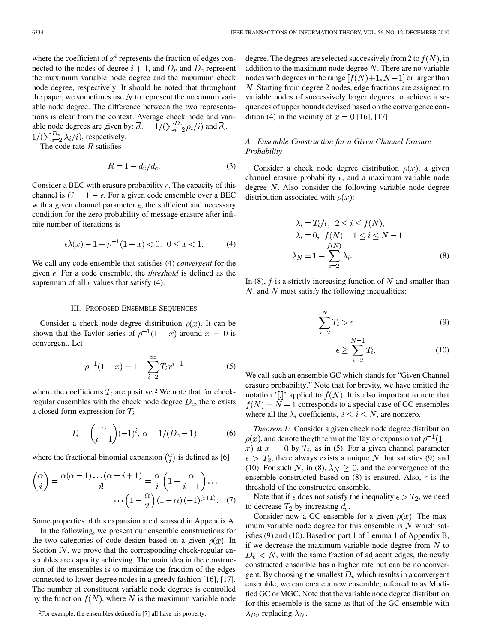where the coefficient of  $x^i$  represents the fraction of edges connected to the nodes of degree  $i + 1$ , and  $D_v$  and  $D_c$  represent the maximum variable node degree and the maximum check node degree, respectively. It should be noted that throughout the paper, we sometimes use  $N$  to represent the maximum variable node degree. The difference between the two representations is clear from the context. Average check node and variable node degrees are given by:  $\overline{d}_c = 1/(\sum_{i=2}^{D_c} \rho_i/i)$  and  $\overline{d}_v =$  $1/(\sum_{i=2}^{D_v} \lambda_i/i)$ , respectively.

The code rate  $R$  satisfies

$$
R = 1 - \overline{d}_v / \overline{d}_c. \tag{3}
$$

Consider a BEC with erasure probability  $\epsilon$ . The capacity of this channel is  $C = 1 - \epsilon$ . For a given code ensemble over a BEC with a given channel parameter  $\epsilon$ , the sufficient and necessary condition for the zero probability of message erasure after infinite number of iterations is

$$
\epsilon \lambda(x) - 1 + \rho^{-1}(1 - x) < 0, \ 0 \le x < 1. \tag{4}
$$

We call any code ensemble that satisfies (4) *convergent* for the given  $\epsilon$ . For a code ensemble, the *threshold* is defined as the supremum of all  $\epsilon$  values that satisfy (4).

## III. PROPOSED ENSEMBLE SEQUENCES

Consider a check node degree distribution  $\rho(x)$ . It can be shown that the Taylor series of  $\rho^{-1}(1-x)$  around  $x=0$  is convergent. Let

$$
\rho^{-1}(1-x) = 1 - \sum_{i=2}^{\infty} T_i x^{i-1}
$$
 (5)

where the coefficients  $T_i$  are positive.<sup>2</sup> We note that for checkregular ensembles with the check node degree  $D_c$ , there exists a closed form expression for  $T_i$ 

$$
T_i = \binom{\alpha}{i-1} (-1)^i, \, \alpha = 1/(D_c - 1) \tag{6}
$$

where the fractional binomial expansion  $\binom{\alpha}{i}$  is defined as [6]

$$
\binom{\alpha}{i} = \frac{\alpha(\alpha - 1)\dots(\alpha - i + 1)}{i!} = \frac{\alpha}{i} \left(1 - \frac{\alpha}{i - 1}\right) \dots
$$

$$
\dots \left(1 - \frac{\alpha}{2}\right) (1 - \alpha) (-1)^{(i+1)}. \quad (7)
$$

Some properties of this expansion are discussed in Appendix A.

In the following, we present our ensemble constructions for the two categories of code design based on a given  $\rho(x)$ . In Section IV, we prove that the corresponding check-regular ensembles are capacity achieving. The main idea in the construction of the ensembles is to maximize the fraction of the edges connected to lower degree nodes in a greedy fashion [16], [17]. The number of constituent variable node degrees is controlled by the function  $f(N)$ , where N is the maximum variable node degree. The degrees are selected successively from 2 to  $f(N)$ , in addition to the maximum node degree  $N$ . There are no variable nodes with degrees in the range  $[f(N)+1, N-1]$  or larger than . Starting from degree 2 nodes, edge fractions are assigned to variable nodes of successively larger degrees to achieve a sequences of upper bounds devised based on the convergence condition (4) in the vicinity of  $x = 0$  [16], [17].

# *A. Ensemble Construction for a Given Channel Erasure Probability*

Consider a check node degree distribution  $\rho(x)$ , a given channel erasure probability  $\epsilon$ , and a maximum variable node degree  $N$ . Also consider the following variable node degree distribution associated with  $\rho(x)$ :

$$
\lambda_i = T_i/\epsilon, \ 2 \le i \le f(N),
$$
  
\n
$$
\lambda_i = 0, \ f(N) + 1 \le i \le N - 1
$$
  
\n
$$
f(N) + 1 \le i \le N - 1
$$
  
\n
$$
\lambda_N = 1 - \sum_{i=2}^{f(N)} \lambda_i.
$$
 (8)

In (8),  $f$  is a strictly increasing function of  $N$  and smaller than  $N$ , and  $N$  must satisfy the following inequalities:

$$
\sum_{i=2}^{N} T_i > \epsilon \tag{9}
$$

$$
\epsilon \ge \sum_{i=2}^{N-1} T_i. \tag{10}
$$

We call such an ensemble GC which stands for "Given Channel erasure probability." Note that for brevity, we have omitted the notation '[.]' applied to  $f(N)$ . It is also important to note that  $f(N) = N - 1$  corresponds to a special case of GC ensembles where all the  $\lambda_i$  coefficients,  $2 \le i \le N$ , are nonzero.

*Theorem 1:* Consider a given check node degree distribution  $\rho(x)$ , and denote the *i*th term of the Taylor expansion of  $\rho^{-1}(1$ x) at  $x = 0$  by  $T_i$ , as in (5). For a given channel parameter  $\epsilon > T_2$ , there always exists a unique N that satisfies (9) and (10). For such N, in (8),  $\lambda_N \geq 0$ , and the convergence of the ensemble constructed based on (8) is ensured. Also,  $\epsilon$  is the threshold of the constructed ensemble.

Note that if  $\epsilon$  does not satisfy the inequality  $\epsilon > T_2$ , we need to decrease  $T_2$  by increasing  $\overline{d}_c$ .

Consider now a GC ensemble for a given  $\rho(x)$ . The maximum variable node degree for this ensemble is  $N$  which satisfies (9) and (10). Based on part 1 of Lemma 1 of Appendix B, if we decrease the maximum variable node degree from  $N$  to  $D_v < N$ , with the same fraction of adjacent edges, the newly constructed ensemble has a higher rate but can be nonconvergent. By choosing the smallest  $D_v$  which results in a convergent ensemble, we can create a new ensemble, referred to as Modified GC or MGC. Note that the variable node degree distribution for this ensemble is the same as that of the GC ensemble with  $\lambda_{Dv}$  replacing  $\lambda_N$ .

<sup>2</sup>For example, the ensembles defined in [7] all have his property.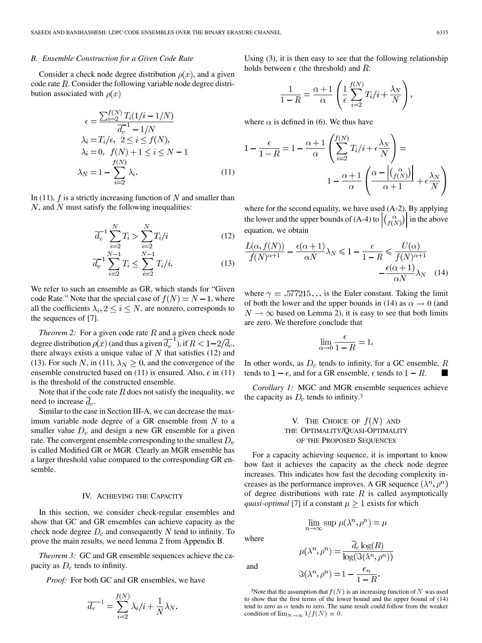# *B. Ensemble Construction for a Given Code Rate*

Consider a check node degree distribution  $\rho(x)$ , and a given code rate  $R$ . Consider the following variable node degree distribution associated with  $\rho(x)$ 

$$
\epsilon = \frac{\sum_{i=2}^{f(N)} T_i (1/i - 1/N)}{\overline{d}_v^{-1} - 1/N}
$$

$$
\lambda_i = T_i / \epsilon, \ 2 \le i \le f(N),
$$

$$
\lambda_i = 0, \ f(N) + 1 \le i \le N - 1
$$

$$
f(N)
$$

$$
\lambda_N = 1 - \sum_{i=2}^{f(N)} \lambda_i. \tag{11}
$$

In (11),  $f$  is a strictly increasing function of  $N$  and smaller than  $N$ , and  $N$  must satisfy the following inequalities:

$$
\overline{d_v}^{-1} \sum_{i=2}^{N} T_i > \sum_{i=2}^{N} T_i / i \tag{12}
$$

$$
\overline{d}_v^{-1} \sum_{i=2}^{N-1} T_i \le \sum_{i=2}^{N-1} T_i/i.
$$
 (13)

We refer to such an ensemble as GR, which stands for "Given code Rate." Note that the special case of  $f(N) = N - 1$ , where all the coefficients  $\lambda_i$ ,  $2 \leq i \leq N$ , are nonzero, corresponds to the sequences of [7].

*Theorem 2:* For a given code rate  $R$  and a given check node degree distribution  $\rho(x)$  (and thus a given  $\overline{d}_{v}^{-1}$ ), if  $R < 1-2/\overline{d}_{c}$ , there always exists a unique value of  $N$  that satisfies (12) and (13). For such N, in (11),  $\lambda_N \geq 0$ , and the convergence of the ensemble constructed based on (11) is ensured. Also,  $\epsilon$  in (11) is the threshold of the constructed ensemble.

Note that if the code rate  $R$  does not satisfy the inequality, we need to increase  $\overline{d}_c$ .

Similar to the case in Section III-A, we can decrease the maximum variable node degree of a GR ensemble from  $N$  to a smaller value  $D_v$  and design a new GR ensemble for a given rate. The convergent ensemble corresponding to the smallest  $D_v$ is called Modified GR or MGR. Clearly an MGR ensemble has a larger threshold value compared to the corresponding GR ensemble.

#### IV. ACHIEVING THE CAPACITY

In this section, we consider check-regular ensembles and show that GC and GR ensembles can achieve capacity as the check node degree  $D_c$  and consequently N tend to infinity. To prove the main results, we need lemma 2 from Appendix B.

*Theorem 3:* GC and GR ensemble sequences achieve the capacity as  $D_c$  tends to infinity.

*Proof:* For both GC and GR ensembles, we have

$$
\overline{d_v}^{-1} = \sum_{i=2}^{f(N)} \lambda_i / i + \frac{1}{N} \lambda_N
$$

Using (3), it is then easy to see that the following relationship holds between  $\epsilon$  (the threshold) and R:

$$
\frac{1}{1-R} = \frac{\alpha+1}{\alpha} \left( \frac{1}{\epsilon} \sum_{i=2}^{f(N)} T_i / i + \frac{\lambda_N}{N} \right),
$$

where  $\alpha$  is defined in (6). We thus have

$$
1 - \frac{\epsilon}{1 - R} = 1 - \frac{\alpha + 1}{\alpha} \left( \sum_{i=2}^{f(N)} T_i / i + \epsilon \frac{\lambda_N}{N} \right) =
$$

$$
1 - \frac{\alpha + 1}{\alpha} \left( \frac{\alpha - \left| \left( \frac{\alpha}{f(N)} \right) \right|}{\alpha + 1} + \epsilon \frac{\lambda_N}{N} \right)
$$

where for the second equality, we have used (A-2). By applying the lower and the upper bounds of (A-4) to  $\left| \binom{\alpha}{f(N)} \right|$  in the above equation, we obtain

$$
\frac{L(\alpha, f(N))}{f(N)^{\alpha+1}} - \frac{\epsilon(\alpha+1)}{\alpha N} \lambda_N \le 1 - \frac{\epsilon}{1-R} \le \frac{U(\alpha)}{f(N)^{\alpha+1}} - \frac{\epsilon(\alpha+1)}{\alpha N} \lambda_N \quad (14)
$$

where  $\gamma = .577215...$  is the Euler constant. Taking the limit of both the lower and the upper bounds in (14) as  $\alpha \rightarrow 0$  (and  $N \rightarrow \infty$  based on Lemma 2), it is easy to see that both limits are zero. We therefore conclude that

$$
\lim_{\alpha \to 0} \frac{\epsilon}{1 - R} = 1
$$

In other words, as  $D_c$  tends to infinity, for a GC ensemble, R tends to  $1 - \epsilon$ , and for a GR ensemble,  $\epsilon$  tends to  $1 - R$ .

*Corollary 1:* MGC and MGR ensemble sequences achieve the capacity as  $D_c$  tends to infinity.<sup>3</sup>

# V. THE CHOICE OF  $f(N)$  AND THE OPTIMALITY/QUASI-OPTIMALITY OF THE PROPOSED SEQUENCES

For a capacity achieving sequence, it is important to know how fast it achieves the capacity as the check node degree increases. This indicates how fast the decoding complexity increases as the performance improves. A GR sequence  $(\lambda^n, \rho^n)$ of degree distributions with rate  $R$  is called asymptotically *quasi-optimal* [7] if a constant  $\mu \geq 1$  exists for which

 $\lim_{n\to\infty}\sup\, \mu(\lambda^n,\rho^n)=\mu$ 

where

and

$$
\mu(\lambda^n, \rho^n) = \frac{\overline{d}_c \log(R)}{\log(\Im(\lambda^n, \rho^n))}
$$

$$
\Im(\lambda^n, \rho^n) = 1 - \frac{\epsilon_n}{1 - B}.
$$

<sup>3</sup>Note that the assumption that  $f(N)$  is an increasing function of N was used to show that the first terms of the lower bound and the upper bound of (14) tend to zero as  $\alpha$  tends to zero. The same result could follow from the weaker condition of  $\lim_{N\to\infty} 1/f(N) = 0$ .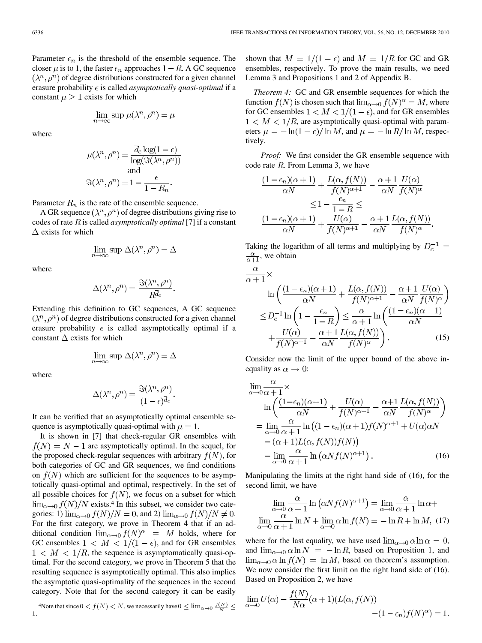Parameter  $\epsilon_n$  is the threshold of the ensemble sequence. The closer  $\mu$  is to 1, the faster  $\epsilon_n$  approaches  $1 - R$ . A GC sequence  $(\lambda^n, \rho^n)$  of degree distributions constructed for a given channel erasure probability  $\epsilon$  is called *asymptotically quasi-optimal* if a constant  $\mu \geq 1$  exists for which

$$
\lim_{n \to \infty} \sup \mu(\lambda^n, \rho^n) = \mu
$$

where

$$
\mu(\lambda^n, \rho^n) = \frac{d_c \log(1 - \epsilon)}{\log(\Im(\lambda^n, \rho^n))}
$$
  
and  

$$
\Im(\lambda^n, \rho^n) = 1 - \frac{\epsilon}{1 - R_n}.
$$

Parameter  $R_n$  is the rate of the ensemble sequence.

A GR sequence  $(\lambda^n, \rho^n)$  of degree distributions giving rise to codes of rate  $R$  is called *asymptotically optimal* [7] if a constant  $\Delta$  exists for which

$$
\lim_{n \to \infty} \sup \Delta(\lambda^n, \rho^n) = \Delta
$$

where

$$
\Delta(\lambda^n, \rho^n) = \frac{\Im(\lambda^n, \rho^n)}{R^{\overline{d}_c}}.
$$

Extending this definition to GC sequences, A GC sequence  $(\lambda^n, \rho^n)$  of degree distributions constructed for a given channel erasure probability  $\epsilon$  is called asymptotically optimal if a constant  $\Delta$  exists for which

$$
\lim_{n\to\infty} \sup \Delta(\lambda^n, \rho^n) = \Delta
$$

where

$$
\Delta(\lambda^n, \rho^n) = \frac{\Im(\lambda^n, \rho^n)}{(1 - \epsilon)^{\overline{d}_c}}.
$$

It can be verified that an asymptotically optimal ensemble sequence is asymptotically quasi-optimal with  $\mu = 1$ .

It is shown in [7] that check-regular GR ensembles with  $f(N) = N - 1$  are asymptotically optimal. In the sequel, for the proposed check-regular sequences with arbitrary  $f(N)$ , for both categories of GC and GR sequences, we find conditions on  $f(N)$  which are sufficient for the sequences to be asymptotically quasi-optimal and optimal, respectively. In the set of all possible choices for  $f(N)$ , we focus on a subset for which  $\lim_{\alpha\to 0} f(N)/N$  exists.<sup>4</sup> In this subset, we consider two categories: 1)  $\lim_{\alpha\to 0} f(N)/N = 0$ , and 2)  $\lim_{\alpha\to 0} f(N)/N \neq 0$ . For the first category, we prove in Theorem 4 that if an additional condition  $\lim_{\alpha\to 0} f(N)^{\alpha} = M$  holds, where for GC ensembles  $1 \lt M \lt 1/(1-\epsilon)$ , and for GR ensembles  $1 < M < 1/R$ , the sequence is asymptomatically quasi-optimal. For the second category, we prove in Theorem 5 that the resulting sequence is asymptotically optimal. This also implies the asymptotic quasi-optimality of the sequences in the second category. Note that for the second category it can be easily

shown that  $M = 1/(1 - \epsilon)$  and  $M = 1/R$  for GC and GR ensembles, respectively. To prove the main results, we need Lemma 3 and Propositions 1 and 2 of Appendix B.

*Theorem 4:* GC and GR ensemble sequences for which the function  $f(N)$  is chosen such that  $\lim_{\alpha \to 0} f(N)^{\alpha} = M$ , where for GC ensembles  $1 < M < 1/(1 - \epsilon)$ , and for GR ensembles  $1 < M < 1/R$ , are asymptotically quasi-optimal with parameters  $\mu = -\ln(1 - \epsilon)/\ln M$ , and  $\mu = -\ln R/\ln M$ , respectively.

*Proof:* We first consider the GR ensemble sequence with code rate  $R$ . From Lemma 3, we have

$$
\frac{(1 - \epsilon_n)(\alpha + 1)}{\alpha N} + \frac{L(\alpha, f(N))}{f(N)^{\alpha + 1}} - \frac{\alpha + 1}{\alpha N} \frac{U(\alpha)}{f(N)^{\alpha}}
$$

$$
\leq 1 - \frac{\epsilon_n}{1 - R} \leq
$$

$$
\frac{(1 - \epsilon_n)(\alpha + 1)}{\alpha N} + \frac{U(\alpha)}{f(N)^{\alpha + 1}} - \frac{\alpha + 1}{\alpha N} \frac{L(\alpha, f(N))}{f(N)^{\alpha}}
$$

Taking the logarithm of all terms and multiplying by  $D_c^{-1}$  =  $\frac{\alpha}{\alpha+1}$ , we obtain

$$
\frac{\alpha}{\alpha+1} \times \ln\left(\frac{(1-\epsilon_n)(\alpha+1)}{\alpha N} + \frac{L(\alpha, f(N))}{f(N)^{\alpha+1}} - \frac{\alpha+1}{\alpha N} \frac{U(\alpha)}{f(N)^{\alpha}}\right)
$$

$$
\leq D_c^{-1} \ln\left(1 - \frac{\epsilon_n}{1-R}\right) \leq \frac{\alpha}{\alpha+1} \ln\left(\frac{(1-\epsilon_n)(\alpha+1)}{\alpha N} + \frac{U(\alpha)}{f(N)^{\alpha+1}} - \frac{\alpha+1}{\alpha N} \frac{L(\alpha, f(N))}{f(N)^{\alpha}}\right). \tag{15}
$$

Consider now the limit of the upper bound of the above inequality as  $\alpha \rightarrow 0$ :

$$
\lim_{\alpha \to 0} \frac{\alpha}{\alpha + 1} \times
$$
\n
$$
\ln \left( \frac{(1 - \epsilon_n)(\alpha + 1)}{\alpha N} + \frac{U(\alpha)}{f(N)^{\alpha + 1}} - \frac{\alpha + 1}{\alpha N} \frac{L(\alpha, f(N))}{f(N)^{\alpha}} \right)
$$
\n
$$
= \lim_{\alpha \to 0} \frac{\alpha}{\alpha + 1} \ln \left( (1 - \epsilon_n)(\alpha + 1) f(N)^{\alpha + 1} + U(\alpha) \alpha N - (\alpha + 1) L(\alpha, f(N)) f(N) \right)
$$
\n
$$
- \lim_{\alpha \to 0} \frac{\alpha}{\alpha + 1} \ln \left( \alpha N f(N)^{\alpha + 1} \right). \tag{16}
$$

Manipulating the limits at the right hand side of (16), for the second limit, we have

$$
\lim_{\alpha \to 0} \frac{\alpha}{\alpha + 1} \ln \left( \alpha N f(N)^{\alpha + 1} \right) = \lim_{\alpha \to 0} \frac{\alpha}{\alpha + 1} \ln \alpha +
$$
  

$$
\lim_{\alpha \to 0} \frac{\alpha}{\alpha + 1} \ln N + \lim_{\alpha \to 0} \alpha \ln f(N) = -\ln R + \ln M, (17)
$$

where for the last equality, we have used  $\lim_{\alpha \to 0} \alpha \ln \alpha = 0$ , and  $\lim_{\alpha\to 0} \alpha \ln N = -\ln R$ , based on Proposition 1, and  $\lim_{\alpha \to 0} \alpha \ln f(N) = \ln M$ , based on theorem's assumption. We now consider the first limit on the right hand side of (16). Based on Proposition 2, we have

$$
\lim_{\alpha \to 0} U(\alpha) - \frac{f(N)}{N\alpha} (\alpha + 1)(L(\alpha, f(N))) - (1 - \epsilon_n) f(N)^{\alpha}) = 1.
$$

<sup>&</sup>lt;sup>4</sup>Note that since  $0 < f(N) < N$ , we necessarily have  $0 \le \lim_{\alpha \to 0} \frac{f(N)}{N} \le$  $\mathbf{1}$ .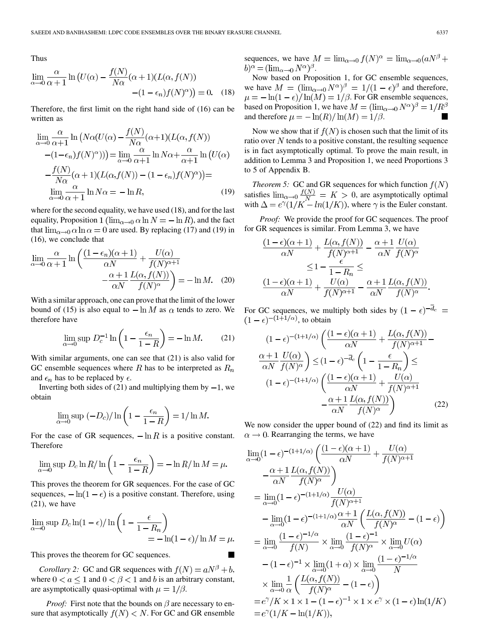Thus

$$
\lim_{\alpha \to 0} \frac{\alpha}{\alpha + 1} \ln \left( U(\alpha) - \frac{f(N)}{N\alpha} (\alpha + 1) (L(\alpha, f(N))) - (1 - \epsilon_n) f(N)^{\alpha} \right) = 0. \quad (18)
$$

Therefore, the first limit on the right hand side of (16) can be written as

$$
\lim_{\alpha \to 0} \frac{\alpha}{\alpha + 1} \ln \left( N\alpha (U(\alpha) - \frac{f(N)}{N\alpha}(\alpha + 1)(L(\alpha, f(N))) - (1 - \epsilon_n) f(N)^{\alpha}) \right) = \lim_{\alpha \to 0} \frac{\alpha}{\alpha + 1} \ln N\alpha + \frac{\alpha}{\alpha + 1} \ln \left( U(\alpha) - \frac{f(N)}{N\alpha}(\alpha + 1)(L(\alpha, f(N)) - (1 - \epsilon_n) f(N)^{\alpha}) \right) =
$$
  

$$
\lim_{\alpha \to 0} \frac{\alpha}{\alpha + 1} \ln N\alpha = -\ln R,
$$
 (19)

where for the second equality, we have used (18), and for the last equality, Proposition 1 ( $\lim_{\alpha \to 0} \alpha \ln N = -\ln R$ ), and the fact that  $\lim_{\alpha \to 0} \alpha \ln \alpha = 0$  are used. By replacing (17) and (19) in (16), we conclude that

$$
\lim_{\alpha \to 0} \frac{\alpha}{\alpha + 1} \ln \left( \frac{(1 - \epsilon_n)(\alpha + 1)}{\alpha N} + \frac{U(\alpha)}{f(N)^{\alpha + 1}} - \frac{\alpha + 1}{\alpha N} \frac{L(\alpha, f(N))}{f(N)^{\alpha}} \right) = -\ln M. \quad (20)
$$

With a similar approach, one can prove that the limit of the lower bound of (15) is also equal to  $-\ln M$  as  $\alpha$  tends to zero. We therefore have

$$
\lim_{\alpha \to 0} \sup D_c^{-1} \ln \left( 1 - \frac{\epsilon_n}{1 - R} \right) = -\ln M. \tag{21}
$$

With similar arguments, one can see that (21) is also valid for GC ensemble sequences where R has to be interpreted as  $R_n$ and  $\epsilon_n$  has to be replaced by  $\epsilon$ .

Inverting both sides of  $(21)$  and multiplying them by  $-1$ , we obtain

$$
\lim_{\alpha \to 0} \sup \left( -D_c \right) / \ln \left( 1 - \frac{\epsilon_n}{1 - R} \right) = 1 / \ln M.
$$

For the case of GR sequences,  $-\ln R$  is a positive constant. Therefore

$$
\lim_{\alpha \to 0} \sup D_c \ln R / \ln \left( 1 - \frac{\epsilon_n}{1 - R} \right) = -\ln R / \ln M = \mu.
$$

This proves the theorem for GR sequences. For the case of GC sequences,  $-\ln(1 - \epsilon)$  is a positive constant. Therefore, using (21), we have

$$
\lim_{\alpha \to 0} \sup D_c \ln(1 - \epsilon) / \ln \left( 1 - \frac{\epsilon}{1 - R_n} \right) = -\ln(1 - \epsilon) / \ln M = \mu.
$$

This proves the theorem for GC sequences.

*Corollary 2:* GC and GR sequences with  $f(N) = aN^{\beta} + b$ , where  $0 < a \le 1$  and  $0 < \beta < 1$  and b is an arbitrary constant, are asymptotically quasi-optimal with  $\mu = 1/\beta$ .

*Proof:* First note that the bounds on  $\beta$  are necessary to ensure that asymptotically  $f(N) < N$ . For GC and GR ensemble sequences, we have  $M = \lim_{\alpha \to 0} f(N)^{\alpha} = \lim_{\alpha \to 0} (aN^{\beta} +$  $b)^\alpha = (\lim_{\alpha \to 0} N^\alpha)^\beta.$ 

Now based on Proposition 1, for GC ensemble sequences, we have  $M = (\lim_{\alpha \to 0} N^{\alpha})^{\beta} = 1/(1 - \epsilon)^{\beta}$  and therefore,  $\mu = -\ln(1 - \epsilon)/\ln(M) = 1/\beta$ . For GR ensemble sequences, based on Proposition 1, we have  $M = (\lim_{\alpha \to 0} N^{\alpha})^{\beta} = 1/R^{\beta}$ and therefore  $\mu = -\ln(R)/\ln(M) = 1/\beta$ .

Now we show that if  $f(N)$  is chosen such that the limit of its ratio over  $N$  tends to a positive constant, the resulting sequence is in fact asymptotically optimal. To prove the main result, in addition to Lemma 3 and Proposition 1, we need Proportions 3 to 5 of Appendix B.

*Theorem 5:* GC and GR sequences for which function  $f(N)$ satisfies  $\lim_{\alpha\to 0} \frac{f(N)}{N} = K > 0$ , are asymptotically optimal with  $\Delta = e^{\gamma}(1/K - ln(1/K))$ , where  $\gamma$  is the Euler constant.

*Proof:* We provide the proof for GC sequences. The proof for GR sequences is similar. From Lemma 3, we have

$$
\frac{(1-\epsilon)(\alpha+1)}{\alpha N} + \frac{L(\alpha, f(N))}{f(N)^{\alpha+1}} - \frac{\alpha+1}{\alpha N} \frac{U(\alpha)}{f(N)^{\alpha}}
$$

$$
\leq 1 - \frac{\epsilon}{1-R_n} \leq
$$

$$
\frac{(1-\epsilon)(\alpha+1)}{\alpha N} + \frac{U(\alpha)}{f(N)^{\alpha+1}} - \frac{\alpha+1}{\alpha N} \frac{L(\alpha, f(N))}{f(N)^{\alpha}}
$$

For GC sequences, we multiply both sides by  $(1 - \epsilon)^{-\overline{d}_c}$  =  $(1 - \epsilon)^{-(1+1/\alpha)}$ , to obtain

$$
(1 - \epsilon)^{-(1+1/\alpha)} \left( \frac{(1 - \epsilon)(\alpha + 1)}{\alpha N} + \frac{L(\alpha, f(N))}{f(N)^{\alpha + 1}} - \frac{\alpha + 1}{\alpha N} \frac{U(\alpha)}{f(N)^{\alpha}} \right) \le (1 - \epsilon)^{-\overline{d}_c} \left( 1 - \frac{\epsilon}{1 - R_n} \right) \le
$$

$$
(1 - \epsilon)^{-(1+1/\alpha)} \left( \frac{(1 - \epsilon)(\alpha + 1)}{\alpha N} + \frac{U(\alpha)}{f(N)^{\alpha + 1}} - \frac{\alpha + 1}{\alpha N} \frac{L(\alpha, f(N))}{f(N)^{\alpha}} \right) \tag{22}
$$

We now consider the upper bound of (22) and find its limit as  $\alpha \rightarrow 0$ . Rearranging the terms, we have

$$
\lim_{\alpha \to 0} (1 - \epsilon)^{-(1+1/\alpha)} \left( \frac{(1 - \epsilon)(\alpha + 1)}{\alpha N} + \frac{U(\alpha)}{f(N)^{\alpha + 1}} \right)
$$
\n
$$
- \frac{\alpha + 1}{\alpha N} \frac{L(\alpha, f(N))}{f(N)^{\alpha}} \right)
$$
\n
$$
= \lim_{\alpha \to 0} (1 - \epsilon)^{-(1+1/\alpha)} \frac{U(\alpha)}{f(N)^{\alpha + 1}}
$$
\n
$$
- \lim_{\alpha \to 0} (1 - \epsilon)^{-(1+1/\alpha)} \frac{\alpha + 1}{\alpha N} \left( \frac{L(\alpha, f(N))}{f(N)^{\alpha}} - (1 - \epsilon) \right)
$$
\n
$$
= \lim_{\alpha \to 0} \frac{(1 - \epsilon)^{-1/\alpha}}{f(N)} \times \lim_{\alpha \to 0} \frac{(1 - \epsilon)^{-1}}{f(N)^{\alpha}} \times \lim_{\alpha \to 0} U(\alpha)
$$
\n
$$
- (1 - \epsilon)^{-1} \times \lim_{\alpha \to 0} (1 + \alpha) \times \lim_{\alpha \to 0} \frac{(1 - \epsilon)^{-1/\alpha}}{N}
$$
\n
$$
\times \lim_{\alpha \to 0} \frac{1}{\alpha} \left( \frac{L(\alpha, f(N))}{f(N)^{\alpha}} - (1 - \epsilon) \right)
$$
\n
$$
= e^{\gamma} / K \times 1 \times 1 - (1 - \epsilon)^{-1} \times 1 \times e^{\gamma} \times (1 - \epsilon) \ln(1/K)
$$
\n
$$
= e^{\gamma} (1/K - \ln(1/K)),
$$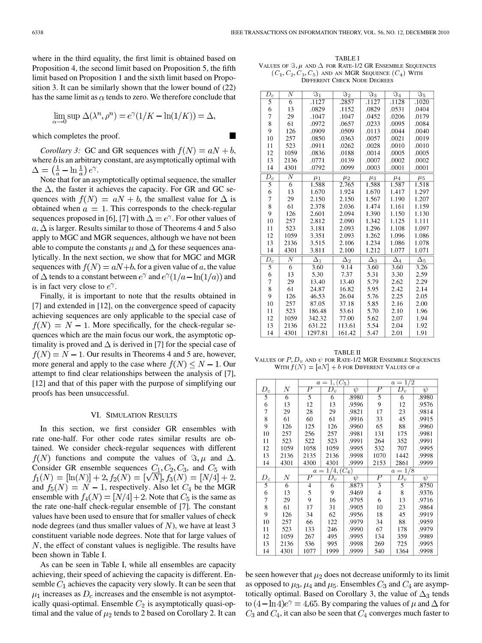where in the third equality, the first limit is obtained based on Proposition 4, the second limit based on Proposition 5, the fifth limit based on Proposition 1 and the sixth limit based on Proposition 3. It can be similarly shown that the lower bound of (22) has the same limit as  $\alpha$  tends to zero. We therefore conclude that

$$
\lim_{\alpha \to 0} \sup \Delta(\lambda^n, \rho^n) = e^{\gamma} (1/K - \ln(1/K)) = \Delta,
$$

Ш

which completes the proof.

*Corollary 3:* GC and GR sequences with  $f(N) = aN + b$ , where  $b$  is an arbitrary constant, are asymptotically optimal with  $\Delta = \left(\frac{1}{a} - \ln \frac{1}{a}\right)e^{\gamma}.$ 

Note that for an asymptotically optimal sequence, the smaller the  $\Delta$ , the faster it achieves the capacity. For GR and GC sequences with  $f(N) = aN + b$ , the smallest value for  $\Delta$  is obtained when  $a = 1$ . This corresponds to the check-regular sequences proposed in [6], [7] with  $\Delta = e^{\gamma}$ . For other values of  $a, \Delta$  is larger. Results similar to those of Theorems 4 and 5 also apply to MGC and MGR sequences, although we have not been able to compute the constants  $\mu$  and  $\Delta$  for these sequences analytically. In the next section, we show that for MGC and MGR sequences with  $f(N) = aN+b$ , for a given value of a, the value of  $\Delta$  tends to a constant between  $e^{\gamma}$  and  $e^{\gamma}(1/a - \ln(1/a))$  and is in fact very close to  $e^{\gamma}$ .

Finally, it is important to note that the results obtained in [7] and extended in [12], on the convergence speed of capacity achieving sequences are only applicable to the special case of  $f(N) = N - 1$ . More specifically, for the check-regular sequences which are the main focus our work, the asymptotic optimality is proved and  $\Delta$  is derived in [7] for the special case of  $f(N) = N - 1$ . Our results in Theorems 4 and 5 are, however, more general and apply to the case where  $f(N) \leq N - 1$ . Our attempt to find clear relationships between the analysis of [7], [12] and that of this paper with the purpose of simplifying our proofs has been unsuccessful.

#### VI. SIMULATION RESULTS

In this section, we first consider GR ensembles with rate one-half. For other code rates similar results are obtained. We consider check-regular sequences with different  $f(N)$  functions and compute the values of  $\Im \mu$  and  $\Delta$ . Consider GR ensemble sequences  $C_1, C_2, C_3$ , and  $C_5$  with  $f_1(N) = [\ln(N)] + 2, f_2(N) = [\sqrt{N}], f_3(N) = [N/4] + 2,$ and  $f_5(N) = N - 1$ , respectively. Also let  $C_4$  be the MGR ensemble with  $f_4(N) = [N/4] + 2$ . Note that  $C_5$  is the same as the rate one-half check-regular ensemble of [7]. The constant values have been used to ensure that for smaller values of check node degrees (and thus smaller values of  $N$ ), we have at least 3 constituent variable node degrees. Note that for large values of  $N$ , the effect of constant values is negligible. The results have been shown in Table I.

As can be seen in Table I, while all ensembles are capacity achieving, their speed of achieving the capacity is different. Ensemble  $C_1$  achieves the capacity very slowly. It can be seen that  $\mu_1$  increases as  $D_c$  increases and the ensemble is not asymptotically quasi-optimal. Ensemble  $C_2$  is asymptotically quasi-optimal and the value of  $\mu_2$  tends to 2 based on Corollary 2. It can

TABLE I VALUES OF  $\Im$ ,  $\mu$  and  $\Delta$  for Rate-1/2 GR Ensemble Sequences  $(C_1, C_2, C_3, C_5)$  and an MGR Sequence  $(C_4)$  With DIFFERENT CHECK NODE DEGREES

| $\overline{D}_c$ | Ν              | $\Im_1$    | $\Im_2$               | $\overline{\Im_3}$ | $\Im_4$    | $\overline{\Im}_5$ |
|------------------|----------------|------------|-----------------------|--------------------|------------|--------------------|
| 5                | $\overline{6}$ | .1127      | .2857                 | .1127              | .1128      | .1020              |
| 6                | 13             | .0829      | .1152                 | .0829              | .0531      | .0404              |
| $\overline{7}$   | 29             | .1047      | .1047                 | .0452              | .0206      | .0179              |
| 8                | 61             | .0972      | .0657                 | .0233              | .0095      | .0084              |
| 9                | 126            | .0909      | .0509                 | .0113              | .0044      | .0040              |
| 10               | 257            | .0850      | .0363                 | .0057              | .0021      | .0019              |
| 11               | 523            | .0911      | .0262                 | .0028              | .0010      | .0010              |
| 12               | 1059           | .0836      | .0188                 | .0014              | .0005      | .0005              |
| 13               | 2136           | .0771      | .0139                 | .0007              | .0002      | .0002              |
| 14               | 4301           | .0792      | .0099                 | .0003              | .0001      | .0001              |
| $\overline{D}_c$ | $\overline{N}$ | $\mu_1$    | $\mu_2$               | $\mu_3$            | $\mu_4$    | $\mu_5$            |
| $\overline{5}$   | $\overline{6}$ | 1.588      | 2.765                 | 1.588              | 1.587      | 1.518              |
| 6                | 13             | 1.670      | 1.924                 | 1.670              | 1.417      | 1.297              |
| $\overline{7}$   | 29             | 2.150      | 2.150                 | 1.567              | 1.190      | 1.207              |
| 8                | 61             | 2.378      | 2.036                 | 1.474              | 1.161      | 1.159              |
| 9                | 126            | 2.601      | 2.094                 | 1.390              | 1.150      | 1.130              |
| 10               | 257            | 2.812      | 2.090                 | 1.342              | 1.125      | 1.111              |
| 11               | 523            | 3.181      | 2.093                 | 1.296              | 1.108      | 1.097              |
| 12               | 1059           | 3.351      | 2.093                 | 1.262              | 1.096      | 1.086              |
| 13               | 2136           | 3.515      | 2.106                 | 1.234              | 1.086      | 1.078              |
| 14               | 4301           | 3.811      | 2.100                 | 1.212              | 1.077      | 1.071              |
| $\overline{D_c}$ | $\overline{N}$ | $\Delta_1$ | $\overline{\Delta}_2$ | $\Delta_3$         | $\Delta_4$ | $\Delta_5$         |
| 5                | $\overline{6}$ | 3.60       | 9.14                  | 3.60               | 3.60       | 3.26               |
| 6                | 13             | 5.30       | 7.37                  | 5.31               | 3.30       | 2.59               |
| 7                | 29             | 13.40      | 13.40                 | 5.79               | 2.62       | 2.29               |
| 8                | 61             | 24.87      | 16.82                 | 5.95               | 2.42       | 2.14               |
| 9                | 126            | 46.53      | 26.04                 | 5.76               | 2.25       | 2.05               |
| 10               | 257            | 87.05      | 37.18                 | 5.85               | 2.16       | 2.00               |
| 11               | 523            | 186.48     | 53.61                 | 5.70               | 2.10       | 1.96               |
| 12               | 1059           | 342.32     | 77.00                 | 5.62               | 2.07       | 1.94               |
| 13               | 2136           | 631.22     | 113.61                | 5.54               | 2.04       | 1.92               |
| 14               | 4301           | 1297.81    | 161.42                | 547                | 2.01       | 191                |

TABLE II VALUES OF  $P$ ,  $D_v$  and  $\psi$  for Rate-1/2 MGR ENSEMBLE SEQUENCES WITH  $f(N) = [aN] + b$  for Different Values of a

|                 |                | $1, (C_5)$<br>$a =$ |                  |       | $a = 1/2$        |           |       |
|-----------------|----------------|---------------------|------------------|-------|------------------|-----------|-------|
| $D_c$           | Ν              | Р                   | $D_{v}$          | ψ     | Ρ                | $D_{v}$   | ψ     |
| 5               | 6              | 5                   | 6                | .8980 | 5                | 6         | .8980 |
| 6               | 13             | 12                  | 13               | .9596 | 9                | 12        | .9576 |
| 7               | 29             | 28                  | 29               | .9821 | 17               | 23        | .9814 |
| 8               | 61             | 60                  | 61               | .9916 | 33               | 45        | .9915 |
| 9               | 126            | 125                 | 126              | .9960 | 65               | 88        | .9960 |
| 10              | 257            | 256                 | 257              | .9981 | 131              | 175       | .9981 |
| 11              | 523            | 522                 | 523              | .9991 | 264              | 352       | .9991 |
| 12              | 1059           | 1058                | 1059             | .9995 | 532              | 707       | .9995 |
| 13              | 2136           | 2135                | 2136             | .9998 | 1070             | 1442      | .9998 |
| 14              | 4301           | 4300                | 4301             | .9999 | 2153             | 2861      | .9999 |
|                 |                | $a =$               | $1/4, (C_4)$     |       |                  | $a = 1/8$ |       |
|                 |                |                     |                  |       |                  |           |       |
| $\mathcal{D}_c$ | Ν              | $\boldsymbol{P}$    | $\overline{D_v}$ | ψ     | $\boldsymbol{P}$ | $D_v$     | ψ     |
| 5               | $\overline{6}$ | 4                   | 6                | .8873 | 3                | 5         | .8750 |
| 6               | 13             | 5                   | 9                | .9469 | 4                | 8         | .9376 |
| 7               | 29             | 9                   | 16               | .9795 | 6                | 13        | .9716 |
| 8               | 61             | 17                  | 31               | .9905 | 10               | 23        | .9864 |
| 9               | 126            | 34                  | 62               | .9956 | 18               | 45        | .9919 |
| 10              | 257            | 66                  | 122              | .9979 | 34               | 88        | .9959 |
| 11              | 523            | 133                 | 246              | .9990 | 67               | 178       | .9979 |
| 12              | 1059           | 267                 | 495              | .9995 | 134              | 359       | .9989 |
| 13              | 2136           | 536                 | 995              | .9998 | 269              | 725       | .9995 |

be seen however that  $\mu_2$  does not decrease uniformly to its limit as opposed to  $\mu_3$ ,  $\mu_4$  and  $\mu_5$ . Ensembles  $C_3$  and  $C_4$  are asymptotically optimal. Based on Corollary 3, the value of  $\Delta_3$  tends to  $(4-\ln 4)e^{\gamma} = 4.65$ . By comparing the values of  $\mu$  and  $\Delta$  for  $C_3$  and  $C_4$ , it can also be seen that  $C_4$  converges much faster to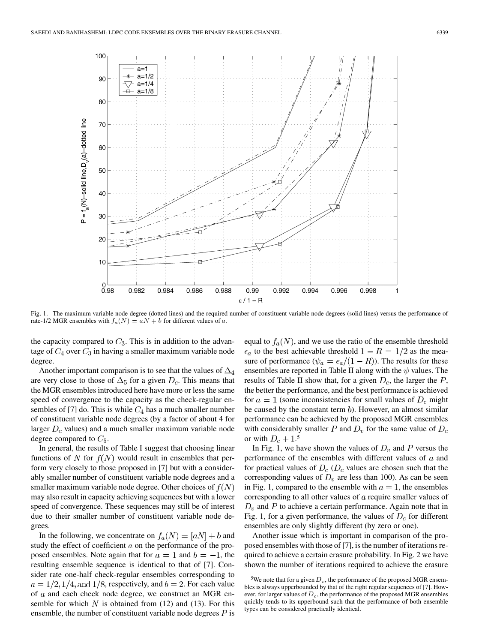

Fig. 1. The maximum variable node degree (dotted lines) and the required number of constituent variable node degrees (solid lines) versus the performance of rate-1/2 MGR ensembles with  $f_a(N) = aN + b$  for different values of a.

the capacity compared to  $C_3$ . This is in addition to the advantage of  $C_4$  over  $C_3$  in having a smaller maximum variable node degree.

Another important comparison is to see that the values of  $\Delta_4$ are very close to those of  $\Delta_5$  for a given  $D_c$ . This means that the MGR ensembles introduced here have more or less the same speed of convergence to the capacity as the check-regular ensembles of [7] do. This is while  $C_4$  has a much smaller number of constituent variable node degrees (by a factor of about 4 for larger  $D_c$  values) and a much smaller maximum variable node degree compared to  $C_5$ .

In general, the results of Table I suggest that choosing linear functions of N for  $f(N)$  would result in ensembles that perform very closely to those proposed in [7] but with a considerably smaller number of constituent variable node degrees and a smaller maximum variable node degree. Other choices of  $f(N)$ may also result in capacity achieving sequences but with a lower speed of convergence. These sequences may still be of interest due to their smaller number of constituent variable node degrees.

In the following, we concentrate on  $f_a(N) = [aN] + b$  and study the effect of coefficient  $a$  on the performance of the proposed ensembles. Note again that for  $a = 1$  and  $b = -1$ , the resulting ensemble sequence is identical to that of [7]. Consider rate one-half check-regular ensembles corresponding to  $a = 1/2, 1/4,$  and  $1/8$ , respectively, and  $b = 2$ . For each value of  $a$  and each check node degree, we construct an MGR ensemble for which  $N$  is obtained from (12) and (13). For this ensemble, the number of constituent variable node degrees  $P$  is

equal to  $f_a(N)$ , and we use the ratio of the ensemble threshold  $\epsilon_a$  to the best achievable threshold  $1 - R = 1/2$  as the measure of performance ( $\psi_a = \epsilon_a/(1 - R)$ ). The results for these ensembles are reported in Table II along with the  $\psi$  values. The results of Table II show that, for a given  $D_c$ , the larger the  $P$ , the better the performance, and the best performance is achieved for  $a = 1$  (some inconsistencies for small values of  $D_c$  might be caused by the constant term  $b$ ). However, an almost similar performance can be achieved by the proposed MGR ensembles with considerably smaller P and  $D_v$  for the same value of  $D_c$ or with  $D_c + 1.5$ 

In Fig. 1, we have shown the values of  $D_v$  and P versus the performance of the ensembles with different values of  $a$  and for practical values of  $D_c$  ( $D_c$  values are chosen such that the corresponding values of  $D_v$  are less than 100). As can be seen in Fig. 1, compared to the ensemble with  $a = 1$ , the ensembles corresponding to all other values of  $\alpha$  require smaller values of  $D<sub>v</sub>$  and P to achieve a certain performance. Again note that in Fig. 1, for a given performance, the values of  $D_c$  for different ensembles are only slightly different (by zero or one).

Another issue which is important in comparison of the proposed ensembles with those of [7], is the number of iterations required to achieve a certain erasure probability. In Fig. 2 we have shown the number of iterations required to achieve the erasure

<sup>&</sup>lt;sup>5</sup>We note that for a given  $D_c$ , the performance of the proposed MGR ensembles is always upperbounded by that of the right regular sequences of [7]. However, for larger values of  $D<sub>c</sub>$ , the performance of the proposed MGR ensembles quickly tends to its upperbound such that the performance of both ensemble types can be considered practically identical.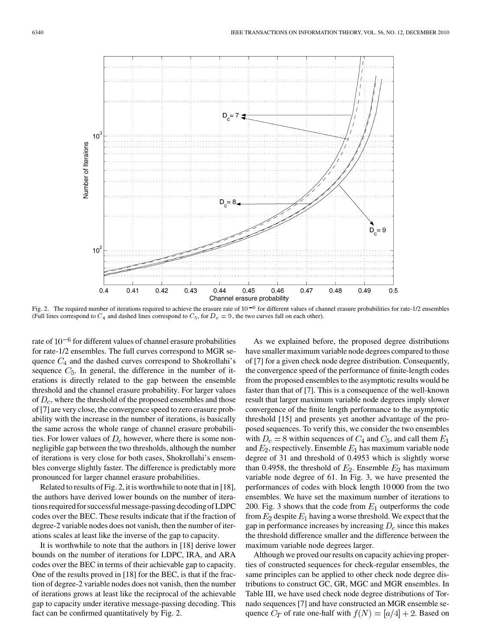

Fig. 2. The required number of iterations required to achieve the erasure rate of  $10^{-6}$  for different values of channel erasure probabilities for rate-1/2 ensembles (Full lines correspond to  $C_4$  and dashed lines correspond to  $C_5$ , for  $D_c = 9$ , the two curves fall on each other).

rate of  $10^{-6}$  for different values of channel erasure probabilities for rate-1/2 ensembles. The full curves correspond to MGR sequence  $C_4$  and the dashed curves correspond to Shokrollahi's sequence  $C_5$ . In general, the difference in the number of iterations is directly related to the gap between the ensemble threshold and the channel erasure probability. For larger values of  $D_c$ , where the threshold of the proposed ensembles and those of [7] are very close, the convergence speed to zero erasure probability with the increase in the number of iterations, is basically the same across the whole range of channel erasure probabilities. For lower values of  $D<sub>c</sub>$  however, where there is some nonnegligible gap between the two thresholds, although the number of iterations is very close for both cases, Shokrollahi's ensembles converge slightly faster. The difference is predictably more pronounced for larger channel erasure probabilities.

Related to results of Fig. 2, it is worthwhile to note that in [18], the authors have derived lower bounds on the number of iterations required for successfulmessage-passing decoding of LDPC codes over the BEC. These results indicate that if the fraction of degree-2 variable nodes does not vanish, then the number of iterations scales at least like the inverse of the gap to capacity.

It is worthwhile to note that the authors in [18] derive lower bounds on the number of iterations for LDPC, IRA, and ARA codes over the BEC in terms of their achievable gap to capacity. One of the results proved in [18] for the BEC, is that if the fraction of degree-2 variable nodes does not vanish, then the number of iterations grows at least like the reciprocal of the achievable gap to capacity under iterative message-passing decoding. This fact can be confirmed quantitatively by Fig. 2.

As we explained before, the proposed degree distributions have smaller maximum variable node degrees compared to those of [7] for a given check node degree distribution. Consequently, the convergence speed of the performance of finite-length codes from the proposed ensembles to the asymptotic results would be faster than that of [7]. This is a consequence of the well-known result that larger maximum variable node degrees imply slower convergence of the finite length performance to the asymptotic threshold [15] and presents yet another advantage of the proposed sequences. To verify this, we consider the two ensembles with  $D_c = 8$  within sequences of  $C_4$  and  $C_5$ , and call them  $E_1$ and  $E_2$ , respectively. Ensemble  $E_1$  has maximum variable node degree of 31 and threshold of 0.4953 which is slightly worse than 0.4958, the threshold of  $E_2$ . Ensemble  $E_2$  has maximum variable node degree of 61. In Fig. 3, we have presented the performances of codes with block length 10 000 from the two ensembles. We have set the maximum number of iterations to 200. Fig. 3 shows that the code from  $E_1$  outperforms the code from  $E_2$  despite  $E_1$  having a worse threshold. We expect that the gap in performance increases by increasing  $D<sub>c</sub>$  since this makes the threshold difference smaller and the difference between the maximum variable node degrees larger.

Although we proved our results on capacity achieving properties of constructed sequences for check-regular ensembles, the same principles can be applied to other check node degree distributions to construct GC, GR, MGC and MGR ensembles. In Table III, we have used check node degree distributions of Tornado sequences [7] and have constructed an MGR ensemble sequence  $C_T$  of rate one-half with  $f(N) = [a/4] + 2$ . Based on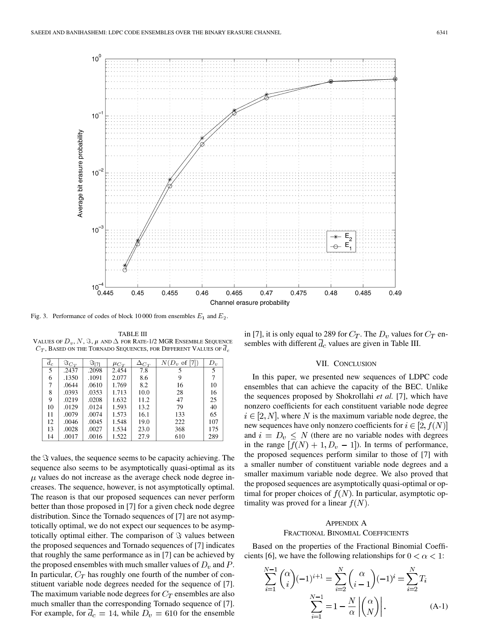

Fig. 3. Performance of codes of block 10 000 from ensembles  $E_1$  and  $E_2$ .

TABLE III VALUES OF  $D_v$ , N, S,  $\mu$  and  $\Delta$  for Rate-1/2 MGR Ensemble Sequence  $C_{T}$ , Based on the Tornado Sequences, for Different Values of  $\overline{d}_{c}$ 

| $d_c$ | $\Im_{C_T}$ | े।71  | $\mu_{C_T}$ | $\Delta_{C_T}$ | $N(D_v \text{ of } [7])$ | $D_v$ |
|-------|-------------|-------|-------------|----------------|--------------------------|-------|
| 5     | .2437       | .2098 | 2.454       | 7.8            |                          | 5     |
| 6     | .1350       | .1091 | 2.077       | 8.6            | 9                        |       |
| 7     | .0644       | .0610 | 1.769       | 8.2            | 16                       | 10    |
| 8     | .0393       | .0353 | 1.713       | 10.0           | 28                       | 16    |
| 9     | .0219       | .0208 | 1.632       | 11.2           | 47                       | 25    |
| 10    | .0129       | .0124 | 1.593       | 13.2           | 79                       | 40    |
| 11    | .0079       | .0074 | 1.573       | 16.1           | 133                      | 65    |
| 12    | .0046       | .0045 | 1.548       | 19.0           | 222                      | 107   |
| 13    | .0028       | .0027 | 1.534       | 23.0           | 368                      | 175   |
| 14    | .0017       | .0016 | 1.522       | 27.9           | 610                      | 289   |

the  $\Im$  values, the sequence seems to be capacity achieving. The sequence also seems to be asymptotically quasi-optimal as its  $\mu$  values do not increase as the average check node degree increases. The sequence, however, is not asymptotically optimal. The reason is that our proposed sequences can never perform better than those proposed in [7] for a given check node degree distribution. Since the Tornado sequences of [7] are not asymptotically optimal, we do not expect our sequences to be asymptotically optimal either. The comparison of  $\Im$  values between the proposed sequences and Tornado sequences of [7] indicates that roughly the same performance as in [7] can be achieved by the proposed ensembles with much smaller values of  $D_v$  and P. In particular,  $C_T$  has roughly one fourth of the number of constituent variable node degrees needed for the sequence of [7]. The maximum variable node degrees for  $C_T$  ensembles are also much smaller than the corresponding Tornado sequence of [7]. For example, for  $\overline{d}_c = 14$ , while  $D_v = 610$  for the ensemble in [7], it is only equal to 289 for  $C_T$ . The  $D_v$  values for  $C_T$  ensembles with different  $\overline{d}_c$  values are given in Table III.

#### VII. CONCLUSION

In this paper, we presented new sequences of LDPC code ensembles that can achieve the capacity of the BEC. Unlike the sequences proposed by Shokrollahi *et al.* [7], which have nonzero coefficients for each constituent variable node degree  $i \in [2, N]$ , where N is the maximum variable node degree, the new sequences have only nonzero coefficients for  $i \in [2, f(N)]$ and  $i = D_v \leq N$  (there are no variable nodes with degrees in the range  $[f(N) + 1, D_v - 1]$ ). In terms of performance, the proposed sequences perform similar to those of [7] with a smaller number of constituent variable node degrees and a smaller maximum variable node degree. We also proved that the proposed sequences are asymptotically quasi-optimal or optimal for proper choices of  $f(N)$ . In particular, asymptotic optimality was proved for a linear  $f(N)$ .

# APPENDIX A FRACTIONAL BINOMIAL COEFFICIENTS

Based on the properties of the Fractional Binomial Coefficients [6], we have the following relationships for  $0 < \alpha < 1$ :

$$
\sum_{i=1}^{N-1} \binom{\alpha}{i} (-1)^{i+1} = \sum_{i=2}^{N} \binom{\alpha}{i-1} (-1)^{i} = \sum_{i=2}^{N} T_i
$$

$$
\sum_{i=1}^{N-1} = 1 - \frac{N}{\alpha} \left| \binom{\alpha}{N} \right|.
$$
(A-1)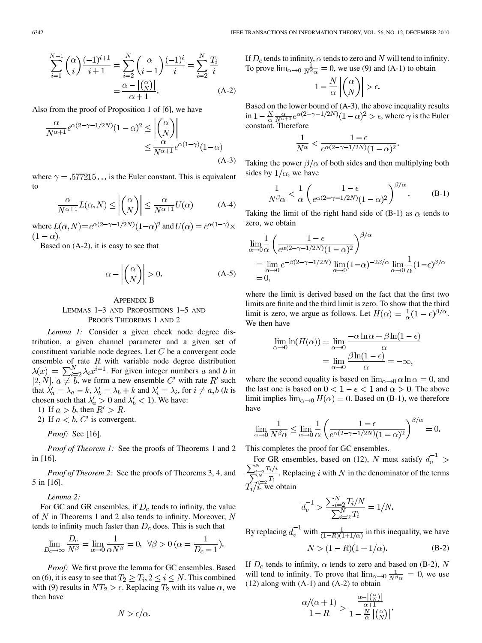$$
\sum_{i=1}^{N-1} {\alpha \choose i} \frac{(-1)^{i+1}}{i+1} = \sum_{i=2}^{N} {\alpha \choose i-1} \frac{(-1)^i}{i} = \sum_{i=2}^{N} \frac{T_i}{i}
$$

$$
= \frac{\alpha - |{\alpha \choose N}|}{\alpha + 1}.
$$
 (A-2)

Also from the proof of Proposition 1 of [6], we have

$$
\frac{\alpha}{N^{\alpha+1}} e^{\alpha(2-\gamma-1/2N)} (1-\alpha)^2 \leq \left| \binom{\alpha}{N} \right|
$$
  

$$
\leq \frac{\alpha}{N^{\alpha+1}} e^{\alpha(1-\gamma)} (1-\alpha)
$$
  
(A-3)

where  $\gamma = .577215...$  is the Euler constant. This is equivalent to

$$
\frac{\alpha}{N^{\alpha+1}} L(\alpha, N) \le \left| \binom{\alpha}{N} \right| \le \frac{\alpha}{N^{\alpha+1}} U(\alpha) \tag{A-4}
$$

where  $L(\alpha, N) = e^{\alpha(2-\gamma-1/2N)}(1-\alpha)^2$  and  $U(\alpha) = e^{\alpha(1-\gamma)} \times$  $(1-\alpha)$ .

Based on (A-2), it is easy to see that

$$
\alpha - \left| \binom{\alpha}{N} \right| > 0. \tag{A-5}
$$

# APPENDIX B LEMMAS 1–3 AND PROPOSITIONS 1–5 AND PROOFS THEOREMS 1 AND 2

*Lemma 1:* Consider a given check node degree distribution, a given channel parameter and a given set of constituent variable node degrees. Let  $C$  be a convergent code ensemble of rate  $R$  with variable node degree distribution . For given integer numbers  $a$  and  $b$  in ,  $a \neq b$ , we form a new ensemble  $C'$  with rate  $R'$  such that  $\lambda'_a = \lambda_a - k$ ,  $\lambda'_b = \lambda_b + k$  and  $\lambda'_i = \lambda_i$ , for  $i \neq a, b$  (k is chosen such that  $\lambda'_a > 0$  and  $\lambda'_b < 1$ ). We have:

1) If  $a > b$ , then  $R' > R$ .

2) If  $a < b$ , C' is convergent.

*Proof:* See [16].

*Proof of Theorem 1:* See the proofs of Theorems 1 and 2 in [16].

*Proof of Theorem 2:* See the proofs of Theorems 3, 4, and 5 in [16].

*Lemma 2:*

For GC and GR ensembles, if  $D<sub>c</sub>$  tends to infinity, the value of N in Theorems 1 and 2 also tends to infinity. Moreover,  $N$ tends to infinity much faster than  $D_c$  does. This is such that

$$
\lim_{D_c \to \infty} \frac{D_c}{N^{\beta}} = \lim_{\alpha \to 0} \frac{1}{\alpha N^{\beta}} = 0, \ \forall \beta > 0 \ (\alpha = \frac{1}{D_c - 1}).
$$

*Proof:* We first prove the lemma for GC ensembles. Based on (6), it is easy to see that  $T_2 \geq T_i$ ,  $2 \leq i \leq N$ . This combined with (9) results in  $NT_2 > \epsilon$ . Replacing  $T_2$  with its value  $\alpha$ , we then have

If  $D_c$  tends to infinity,  $\alpha$  tends to zero and N will tend to infinity. To prove  $\lim_{\alpha\to 0} \frac{1}{N\beta \alpha} = 0$ , we use (9) and (A-1) to obtain

$$
1 - \frac{N}{\alpha} \left| \binom{\alpha}{N} \right| > \epsilon.
$$

Based on the lower bound of (A-3), the above inequality results in  $1 - \frac{N}{\alpha} \frac{\alpha}{N^{\alpha+1}} e^{\alpha(2-\gamma-1/2N)} (1-\alpha)^2 > \epsilon$ , where  $\gamma$  is the Euler constant. Therefore

$$
\frac{1}{N^{\alpha}} < \frac{1 - \epsilon}{e^{\alpha(2 - \gamma - 1/2N)}(1 - \alpha)^2}
$$

Taking the power  $\beta/\alpha$  of both sides and then multiplying both sides by  $1/\alpha$ , we have

$$
\frac{1}{N^{\beta}\alpha} < \frac{1}{\alpha} \left( \frac{1 - \epsilon}{e^{\alpha(2 - \gamma - 1/2N)}(1 - \alpha)^2} \right)^{\beta/\alpha} . \tag{B-1}
$$

Taking the limit of the right hand side of (B-1) as  $\alpha$  tends to zero, we obtain

$$
\lim_{\alpha \to 0} \frac{1}{\alpha} \left( \frac{1 - \epsilon}{e^{\alpha (2 - \gamma - 1/2N)} (1 - \alpha)^2} \right)^{\beta/\alpha}
$$
  
= 
$$
\lim_{\alpha \to 0} e^{-\beta (2 - \gamma - 1/2N)} \lim_{\alpha \to 0} (1 - \alpha)^{-2\beta/\alpha} \lim_{\alpha \to 0} \frac{1}{\alpha} (1 - \epsilon)^{\beta/\alpha}
$$
  
= 0,

where the limit is derived based on the fact that the first two limits are finite and the third limit is zero. To show that the third limit is zero, we argue as follows. Let  $H(\alpha) = \frac{1}{\alpha}(1 - \epsilon)^{\beta/\alpha}$ . We then have

$$
\lim_{\alpha \to 0} \ln(H(\alpha)) = \lim_{\alpha \to 0} \frac{-\alpha \ln \alpha + \beta \ln(1 - \epsilon)}{\alpha}
$$

$$
= \lim_{\alpha \to 0} \frac{\beta \ln(1 - \epsilon)}{\alpha} = -\infty,
$$

where the second equality is based on  $\lim_{\alpha\to 0} \alpha \ln \alpha = 0$ , and the last one is based on  $0 < 1 - \epsilon < 1$  and  $\alpha > 0$ . The above limit implies  $\lim_{\alpha\to 0} H(\alpha) = 0$ . Based on (B-1), we therefore have

$$
\lim_{\alpha \to 0} \frac{1}{N^{\beta} \alpha} \le \lim_{\alpha \to 0} \frac{1}{\alpha} \left( \frac{1 - \epsilon}{e^{\alpha (2 - \gamma - 1/2N)} (1 - \alpha)^2} \right)^{\beta/\alpha} = 0.
$$

This completes the proof for GC ensembles.

For GR ensembles, based on (12), N must satisfy  $\overline{d}_v^{-1}$  > . Replacing  $i$  with  $N$  in the denominator of the terms , we obtain

$$
\overline{d}_v^{-1} > \frac{\sum_{i=2}^N T_i/N}{\sum_{i=2}^N T_i} = 1/N.
$$

By replacing  $\overline{d}_v^{-1}$  with  $\frac{1}{(1-R)(1+1/\alpha)}$  in this inequality, we have

$$
N > (1 - R)(1 + 1/\alpha).
$$
 (B-2)

If  $D_c$  tends to infinity,  $\alpha$  tends to zero and based on (B-2), N will tend to infinity. To prove that  $\lim_{\alpha\to 0} \frac{1}{N^{\beta}\alpha} = 0$ , we use  $(12)$  along with  $(A-1)$  and  $(A-2)$  to obtain

$$
\frac{\alpha/(\alpha+1)}{1-R} > \frac{\frac{\alpha-|{\alpha \choose N}}{\alpha+1}}{1-\frac{N}{\alpha}|{\alpha \choose N}|}
$$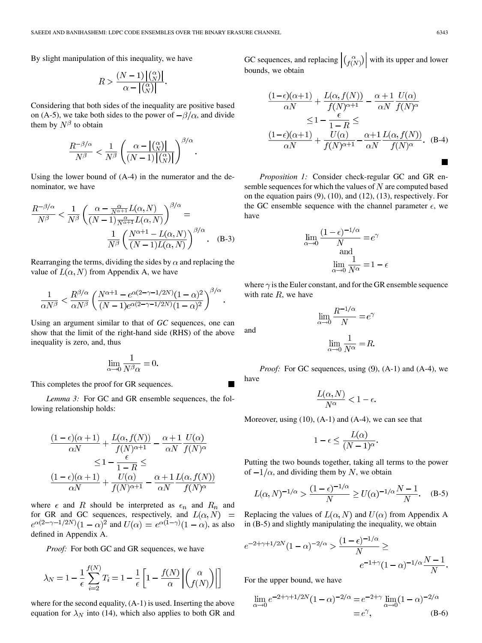By slight manipulation of this inequality, we have

$$
R > \frac{(N-1)\left|\binom{\alpha}{N}\right|}{\alpha - \left|\binom{\alpha}{N}\right|}.
$$

Considering that both sides of the inequality are positive based on (A-5), we take both sides to the power of  $-\beta/\alpha$ , and divide them by  $N^{\beta}$  to obtain

$$
\frac{R^{-\beta/\alpha}}{N^{\beta}} < \frac{1}{N^{\beta}} \left( \frac{\alpha - \left| \binom{\alpha}{N} \right|}{(N-1) \left| \binom{\alpha}{N} \right|} \right)^{\beta/\alpha}
$$

Using the lower bound of (A-4) in the numerator and the denominator, we have

$$
\frac{R^{-\beta/\alpha}}{N^{\beta}} < \frac{1}{N^{\beta}} \left( \frac{\alpha - \frac{\alpha}{N^{\alpha+1}} L(\alpha, N)}{(N-1) \frac{\alpha}{N^{\alpha+1}} L(\alpha, N)} \right)^{\beta/\alpha} = \frac{1}{N^{\beta}} \left( \frac{N^{\alpha+1} - L(\alpha, N)}{(N-1) L(\alpha, N)} \right)^{\beta/\alpha} . \quad (B-3)
$$

Rearranging the terms, dividing the sides by  $\alpha$  and replacing the value of  $L(\alpha, N)$  from Appendix A, we have

$$
\frac{1}{\alpha N^{\beta}} < \frac{R^{\beta/\alpha}}{\alpha N^{\beta}} \left( \frac{N^{\alpha+1} - e^{\alpha(2-\gamma-1/2N)} (1-\alpha)^2}{(N-1)e^{\alpha(2-\gamma-1/2N)} (1-\alpha)^2} \right)^{\beta/\alpha}.
$$

Using an argument similar to that of *GC* sequences, one can show that the limit of the right-hand side (RHS) of the above inequality is zero, and, thus

$$
\lim_{\alpha \to 0} \frac{1}{N^{\beta} \alpha} = 0.
$$

This completes the proof for GR sequences.

*Lemma 3:* For GC and GR ensemble sequences, the following relationship holds:

$$
\frac{(1 - \epsilon)(\alpha + 1)}{\alpha N} + \frac{L(\alpha, f(N))}{f(N)^{\alpha + 1}} - \frac{\alpha + 1}{\alpha N} \frac{U(\alpha)}{f(N)^{\alpha}}
$$

$$
\leq 1 - \frac{\epsilon}{1 - R} \leq
$$

$$
\frac{(1 - \epsilon)(\alpha + 1)}{\alpha N} + \frac{U(\alpha)}{f(N)^{\alpha + 1}} - \frac{\alpha + 1}{\alpha N} \frac{L(\alpha, f(N))}{f(N)^{\alpha}}
$$

where  $\epsilon$  and R should be interpreted as  $\epsilon_n$  and  $R_n$  and for GR and GC sequences, respectively, and  $L(\alpha, N)$  =  $e^{\alpha(2-\gamma-1/2N)}(1-\alpha)^2$  and  $U(\alpha) = e^{\alpha(1-\gamma)}(1-\alpha)$ , as also defined in Appendix A.

*Proof:* For both GC and GR sequences, we have

$$
\lambda_N = 1 - \frac{1}{\epsilon} \sum_{i=2}^{f(N)} T_i = 1 - \frac{1}{\epsilon} \left[ 1 - \frac{f(N)}{\alpha} \left| \begin{pmatrix} \alpha \\ f(N) \end{pmatrix} \right| \right]
$$

where for the second equality, (A-1) is used. Inserting the above equation for  $\lambda_N$  into (14), which also applies to both GR and GC sequences, and replacing  $\left| \binom{\alpha}{f(N)} \right|$  with its upper and lower bounds, we obtain

$$
\frac{(1-\epsilon)(\alpha+1)}{\alpha N} + \frac{L(\alpha, f(N))}{f(N)^{\alpha+1}} - \frac{\alpha+1}{\alpha N} \frac{U(\alpha)}{f(N)^{\alpha}}
$$

$$
\leq 1 - \frac{\epsilon}{1-R} \leq
$$

$$
\frac{(1-\epsilon)(\alpha+1)}{\alpha N} + \frac{U(\alpha)}{f(N)^{\alpha+1}} - \frac{\alpha+1}{\alpha N} \frac{L(\alpha, f(N))}{f(N)^{\alpha}}.
$$
 (B-4)

*Proposition 1:* Consider check-regular GC and GR ensemble sequences for which the values of  $N$  are computed based on the equation pairs (9), (10), and (12), (13), respectively. For the GC ensemble sequence with the channel parameter  $\epsilon$ , we have

$$
\lim_{\alpha \to 0} \frac{(1 - \epsilon)^{-1/\alpha}}{N} = e^{\gamma}
$$
  
and  

$$
\lim_{\alpha \to 0} \frac{1}{N^{\alpha}} = 1 - \epsilon
$$

where  $\gamma$  is the Euler constant, and for the GR ensemble sequence with rate  $R$ , we have

$$
\lim_{\alpha \to 0} \frac{R^{-1/\alpha}}{N} = e^{\gamma}
$$

$$
\lim_{\alpha \to 0} \frac{1}{N^{\alpha}} = R.
$$

*Proof:* For GC sequences, using (9), (A-1) and (A-4), we

 $T$  (  $\bar{r}$   $\bar{r}$ )

$$
\frac{L(\alpha, N)}{N^{\alpha}} < 1 - \epsilon
$$

Moreover, using  $(10)$ ,  $(A-1)$  and  $(A-4)$ , we can see that

$$
1 - \epsilon \le \frac{L(\alpha)}{(N-1)^{\alpha}}.
$$

Putting the two bounds together, taking all terms to the power of  $-1/\alpha$ , and dividing them by N, we obtain

$$
L(\alpha, N)^{-1/\alpha} > \frac{(1 - \epsilon)^{-1/\alpha}}{N} \ge U(\alpha)^{-1/\alpha} \frac{N - 1}{N}.
$$
 (B-5)

Replacing the values of  $L(\alpha, N)$  and  $U(\alpha)$  from Appendix A in (B-5) and slightly manipulating the inequality, we obtain

$$
e^{-2+\gamma+1/2N}(1-\alpha)^{-2/\alpha} > \frac{(1-\epsilon)^{-1/\alpha}}{N} \ge e^{-1+\gamma}(1-\alpha)^{-1/\alpha}\frac{N-1}{N}.
$$

For the upper bound, we have

$$
\lim_{\alpha \to 0} e^{-2 + \gamma + 1/2N} (1 - \alpha)^{-2/\alpha} = e^{-2 + \gamma} \lim_{\alpha \to 0} (1 - \alpha)^{-2/\alpha} = e^{\gamma},
$$
(B-6)

 $\blacksquare$ 

and

have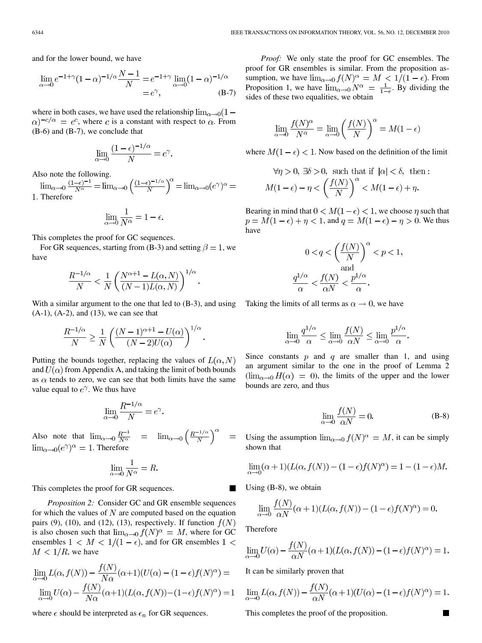and for the lower bound, we have

$$
\lim_{\alpha \to 0} e^{-1+\gamma} (1-\alpha)^{-1/\alpha} \frac{N-1}{N} = e^{-1+\gamma} \lim_{\alpha \to 0} (1-\alpha)^{-1/\alpha} = e^{\gamma},
$$
 (B-7)

where in both cases, we have used the relationship  $\lim_{\alpha \to 0} (1 (\alpha)^{-c/\alpha} = e^c$ , where c is a constant with respect to  $\alpha$ . From (B-6) and (B-7), we conclude that

$$
\lim_{\alpha \to 0} \frac{(1 - \epsilon)^{-1/\alpha}}{N} = e^{\gamma}.
$$

Also note the following.<br>  $\lim_{\alpha \to 0} \frac{(1-\epsilon)^{-1}}{N^{\alpha}} = \lim_{\alpha \to 0} \left( \frac{(1-\epsilon)^{-1/\alpha}}{N} \right)^{\alpha} = \lim_{\alpha \to 0} (e^{\gamma})^{\alpha} =$ . Therefore

$$
\lim_{\alpha \to 0} \frac{1}{N^{\alpha}} = 1 - \epsilon.
$$

This completes the proof for GC sequences.

For GR sequences, starting from (B-3) and setting  $\beta = 1$ , we have

$$
\frac{R^{-1/\alpha}}{N} < \frac{1}{N} \left( \frac{N^{\alpha+1} - L(\alpha, N)}{(N-1)L(\alpha, N)} \right)^{1/\alpha}
$$

With a similar argument to the one that led to  $(B-3)$ , and using  $(A-1)$ ,  $(A-2)$ , and  $(13)$ , we can see that

$$
\frac{R^{-1/\alpha}}{N} \ge \frac{1}{N} \left( \frac{(N-1)^{\alpha+1} - U(\alpha)}{(N-2)U(\alpha)} \right)^{1/\alpha}.
$$

Putting the bounds together, replacing the values of  $L(\alpha, N)$ and  $U(\alpha)$  from Appendix A, and taking the limit of both bounds as  $\alpha$  tends to zero, we can see that both limits have the same value equal to  $e^{\gamma}$ . We thus have

$$
\lim_{\alpha \to 0} \frac{R^{-1/\alpha}}{N} = e^{\gamma}.
$$

Also note that . Therefore

$$
\lim_{\alpha \to 0} \frac{1}{N^{\alpha}} = R.
$$

This completes the proof for GR sequences.

*Proposition 2:* Consider GC and GR ensemble sequences for which the values of  $N$  are computed based on the equation pairs (9), (10), and (12), (13), respectively. If function  $f(N)$ is also chosen such that  $\lim_{\alpha \to 0} f(N)^{\alpha} = M$ , where for GC ensembles  $1 < M < 1/(1 - \epsilon)$ , and for GR ensembles  $1 <$  $M < 1/R$ , we have

$$
\lim_{\alpha \to 0} L(\alpha, f(N)) - \frac{f(N)}{N\alpha}(\alpha + 1)(U(\alpha) - (1 - \epsilon)f(N)^{\alpha}) =
$$
  

$$
\lim_{\alpha \to 0} U(\alpha) - \frac{f(N)}{N\alpha}(\alpha + 1)(L(\alpha, f(N)) - (1 - \epsilon)f(N)^{\alpha}) = 1
$$

where  $\epsilon$  should be interpreted as  $\epsilon_n$  for GR sequences.

*Proof:* We only state the proof for GC ensembles. The proof for GR ensembles is similar. From the proposition assumption, we have  $\lim_{\alpha\to 0} f(N)^{\alpha} = M < 1/(1-\epsilon)$ . From Proposition 1, we have  $\lim_{\alpha\to 0} N^{\alpha} = \frac{1}{1-\epsilon}$ . By dividing the sides of these two equalities, we obtain

$$
\lim_{\alpha \to 0} \frac{f(N)^{\alpha}}{N^{\alpha}} = \lim_{\alpha \to 0} \left(\frac{f(N)}{N}\right)^{\alpha} = M(1 - \epsilon)
$$

where  $M(1 - \epsilon) < 1$ . Now based on the definition of the limit

$$
\forall \eta > 0, \exists \delta > 0, \text{ such that if } |\alpha| < \delta, \text{ then :}
$$
\n
$$
M(1 - \epsilon) - \eta < \left(\frac{f(N)}{N}\right)^{\alpha} < M(1 - \epsilon) + \eta.
$$

Bearing in mind that  $0 < M(1 - \epsilon) < 1$ , we choose  $\eta$  such that  $p = M(1 - \epsilon) + \eta < 1$ , and  $q = M(1 - \epsilon) - \eta > 0$ . We thus have

$$
0 < q < \left(\frac{f(N)}{N}\right)^{\alpha} < p < 1,
$$
  
and  

$$
\frac{q^{1/\alpha}}{\alpha} < \frac{f(N)}{\alpha N} < \frac{p^{1/\alpha}}{\alpha}.
$$

Taking the limits of all terms as  $\alpha \to 0$ , we have

$$
\lim_{\alpha \to 0} \frac{q^{1/\alpha}}{\alpha} \le \lim_{\alpha \to 0} \frac{f(N)}{\alpha N} \le \lim_{\alpha \to 0} \frac{p^{1/\alpha}}{\alpha}
$$

Since constants  $p$  and  $q$  are smaller than 1, and using an argument similar to the one in the proof of Lemma 2  $(\lim_{\alpha\to 0} H(\alpha) = 0)$ , the limits of the upper and the lower bounds are zero, and thus

$$
\lim_{\alpha \to 0} \frac{f(N)}{\alpha N} = 0.
$$
 (B-8)

Using the assumption  $\lim_{\alpha\to 0} f(N)^{\alpha} = M$ , it can be simply shown that

$$
\lim_{\alpha \to 0} (\alpha + 1)(L(\alpha, f(N)) - (1 - \epsilon)f(N)^{\alpha}) = 1 - (1 - \epsilon)M.
$$

Using (B-8), we obtain

$$
\lim_{\alpha \to 0} \frac{f(N)}{\alpha N} (\alpha + 1) (L(\alpha, f(N)) - (1 - \epsilon) f(N)^{\alpha}) = 0.
$$

Therefore

$$
\lim_{\alpha \to 0} U(\alpha) - \frac{f(N)}{\alpha N} (\alpha + 1) (L(\alpha, f(N)) - (1 - \epsilon) f(N)^{\alpha}) = 1.
$$

It can be similarly proven that

$$
\lim_{\alpha \to 0} L(\alpha, f(N)) - \frac{f(N)}{\alpha N} (\alpha + 1)(U(\alpha) - (1 - \epsilon)f(N)^{\alpha}) = 1.
$$

This completes the proof of the proposition.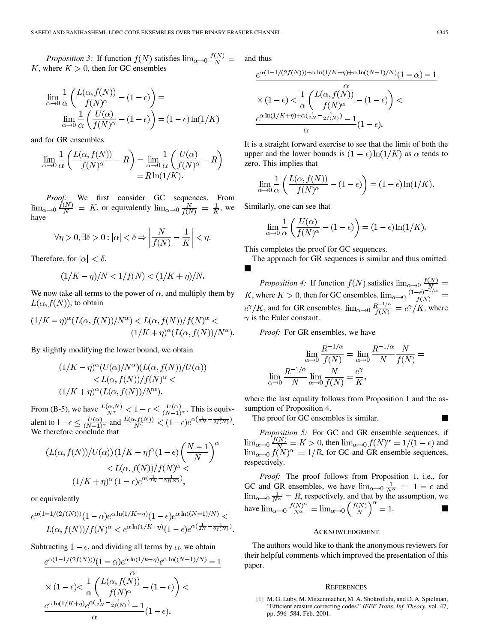*Proposition 3:* If function  $f(N)$  satisfies  $\lim_{\alpha \to 0} \frac{f(N)}{N}$  = K, where  $K > 0$ , then for GC ensembles

$$
\lim_{\alpha \to 0} \frac{1}{\alpha} \left( \frac{L(\alpha, f(N))}{f(N)^{\alpha}} - (1 - \epsilon) \right) =
$$
  

$$
\lim_{\alpha \to 0} \frac{1}{\alpha} \left( \frac{U(\alpha)}{f(N)^{\alpha}} - (1 - \epsilon) \right) = (1 - \epsilon) \ln(1/K)
$$

and for GR ensembles

$$
\lim_{\alpha \to 0} \frac{1}{\alpha} \left( \frac{L(\alpha, f(N))}{f(N)^{\alpha}} - R \right) = \lim_{\alpha \to 0} \frac{1}{\alpha} \left( \frac{U(\alpha)}{f(N)^{\alpha}} - R \right)
$$

$$
= R \ln(1/K).
$$

*Proof:* We first consider GC sequences. From  $\lim_{\alpha \to 0} \frac{f(N)}{N} = K$ , or equivalently  $\lim_{\alpha \to 0} \frac{N}{f(N)} = \frac{1}{K}$ , we have

$$
\forall \eta > 0, \exists \delta > 0 : |\alpha| < \delta \Rightarrow \left| \frac{N}{f(N)} - \frac{1}{K} \right| < \eta.
$$

Therefore, for  $|\alpha| < \delta$ ,

$$
(1/K - \eta)/N < 1/f(N) < (1/K + \eta)/N.
$$

We now take all terms to the power of  $\alpha$ , and multiply them by  $L(\alpha, f(N))$ , to obtain

$$
(1/K - \eta)^{\alpha} (L(\alpha, f(N))/N^{\alpha}) < L(\alpha, f(N))/f(N)^{\alpha} < (1/K + \eta)^{\alpha} (L(\alpha, f(N))/N^{\alpha}).
$$

By slightly modifying the lower bound, we obtain

$$
(1/K - \eta)^{\alpha}(U(\alpha)/N^{\alpha})(L(\alpha, f(N))/U(\alpha))
$$
  

$$
< L(\alpha, f(N))/f(N)^{\alpha} <
$$
  

$$
(1/K + \eta)^{\alpha}(L(\alpha, f(N))/N^{\alpha}).
$$

From (B-5), we have  $\frac{L(\alpha, N)}{N\alpha} < 1 - \epsilon \leq \frac{U(\alpha)}{(N-1)\alpha}$ . This is equivalent to  $1-\epsilon \leq \frac{U(\alpha)}{(N-1)\alpha}$  and  $\frac{L(\alpha, f(N))}{N\alpha} < (1-\epsilon)e^{(\alpha(\frac{1}{2N}-\frac{1}{2f(N)}))}$ . We therefore conclude that

$$
(L(\alpha, f(N))/U(\alpha))(1/K - \eta)^{\alpha}(1 - \epsilon)\left(\frac{N-1}{N}\right)^{\alpha}
$$

$$
\langle L(\alpha, f(N))/f(N)^{\alpha} \langle (1/K + \eta)^{\alpha}(1 - \epsilon)e^{\alpha(\frac{1}{2N} - \frac{1}{2f(N)})},
$$

or equivalently

$$
e^{\alpha(1-1/(2f(N)))}(1-\alpha)e^{\alpha \ln(1/K-\eta)}(1-\epsilon)e^{\alpha \ln((N-1)/N)} L(\alpha, f(N))/f(N)^{\alpha} < e^{\alpha \ln(1/K+\eta)}(1-\epsilon)e^{\alpha(\frac{1}{2N}-\frac{1}{2f(N)})}.
$$

Subtracting  $1 - \epsilon$ , and dividing all terms by  $\alpha$ , we obtain

$$
\label{eq:20} \begin{split} &\frac{e^{\alpha(1-1/(2f(N)))}(1-\alpha)e^{\alpha\ln(1/k-\eta)}e^{\alpha\ln((N-1)/N)}-1}{\alpha}\\ &\times(1-\epsilon){<\frac{1}{\alpha}\left(\frac{L(\alpha,f(N))}{f(N)^{\alpha}}-(1-\epsilon)\right)}{<}\\ &\frac{e^{\alpha\ln(1/K+\eta)}e^{\alpha(\frac{1}{2N}-\frac{1}{2f(N)})}-1}{\alpha}(1-\epsilon). \end{split}
$$

and thus

$$
\frac{e^{\alpha(1-1/(2f(N)))+\alpha\ln(1/K-\eta)+\alpha\ln((N-1)/N)}(1-\alpha)-1}{\alpha}
$$

$$
\times (1-\epsilon) < \frac{1}{\alpha} \left(\frac{L(\alpha, f(N))}{f(N)^{\alpha}} - (1-\epsilon)\right) < \frac{e^{\alpha\ln(1/K+\eta)+\alpha(\frac{1}{2N}-\frac{1}{2f(N)})}-1}{\alpha}(1-\epsilon).
$$

It is a straight forward exercise to see that the limit of both the upper and the lower bounds is  $(1 - \epsilon) \ln(1/K)$  as  $\alpha$  tends to zero. This implies that

$$
\lim_{\alpha \to 0} \frac{1}{\alpha} \left( \frac{L(\alpha, f(N))}{f(N)^{\alpha}} - (1 - \epsilon) \right) = (1 - \epsilon) \ln(1/K).
$$

Similarly, one can see that

$$
\lim_{\alpha \to 0} \frac{1}{\alpha} \left( \frac{U(\alpha)}{f(N)^{\alpha}} - (1 - \epsilon) \right) = (1 - \epsilon) \ln(1/K).
$$

This completes the proof for GC sequences.

The approach for GR sequences is similar and thus omitted.  $\blacksquare$ 

*Proposition 4:* If function  $f(N)$  satisfies , where  $K > 0$ , then for GC ensembles,  $e^{\gamma}/K$ , and for GR ensembles,  $\lim_{\alpha\to 0} \frac{R^{-1/\alpha}}{f(N)} = e^{\gamma}/K$ , where  $\gamma$  is the Euler constant.

*Proof:* For GR ensembles, we have

$$
\lim_{\alpha \to 0} \frac{R^{-1/\alpha}}{f(N)} = \lim_{\alpha \to 0} \frac{R^{-1/\alpha}}{N} \frac{N}{f(N)} =
$$

$$
\lim_{\alpha \to 0} \frac{R^{-1/\alpha}}{N} \lim_{\alpha \to 0} \frac{N}{f(N)} = \frac{e^{\gamma}}{K},
$$

where the last equality follows from Proposition 1 and the assumption of Proposition 4.

The proof for GC ensembles is similar.

*Proposition 5:* For GC and GR ensemble sequences, if , then  $\lim_{\alpha\to 0} f(N)^{\alpha} = 1/(1 - \epsilon)$  and , for GC and GR ensemble sequences, respectively.

*Proof:* The proof follows from Proposition 1, i.e., for GC and GR ensembles, we have  $\lim_{\alpha\to 0} \frac{1}{N^{\alpha}} = 1 - \epsilon$  and , respectively, and that by the assumption, we have  $\lim_{\alpha \to 0} \frac{f(N)^{-\alpha}}{N^{\alpha}} = \lim_{\alpha \to 0} \left( \frac{f(N)}{N} \right) = 1.$ 

## ACKNOWLEDGMENT

The authors would like to thank the anonymous reviewers for their helpful comments which improved the presentation of this paper.

#### **REFERENCES**

[1] M. G. Luby, M. Mitzenmacher, M. A. Shokrollahi, and D. A. Spielman, "Efficient erasure correcting codes," *IEEE Trans. Inf. Theory*, vol. 47, pp. 596–584, Feb. 2001.

П